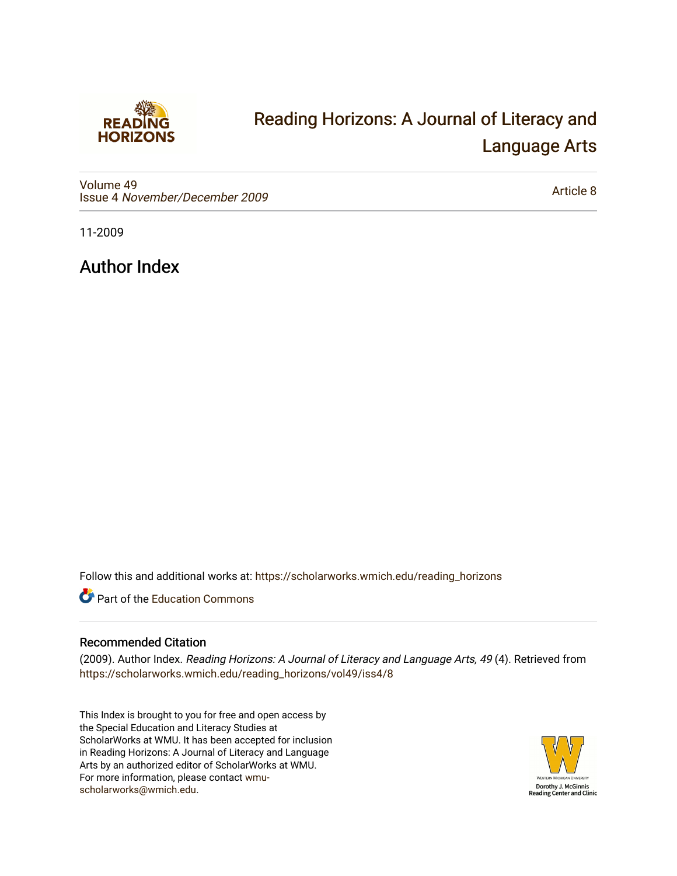

## [Reading Horizons: A Journal of Literacy and](https://scholarworks.wmich.edu/reading_horizons)  [Language Arts](https://scholarworks.wmich.edu/reading_horizons)

[Volume 49](https://scholarworks.wmich.edu/reading_horizons/vol49) Issue 4 [November/December 2009](https://scholarworks.wmich.edu/reading_horizons/vol49/iss4)

[Article 8](https://scholarworks.wmich.edu/reading_horizons/vol49/iss4/8) 

11-2009

Author Index

Follow this and additional works at: [https://scholarworks.wmich.edu/reading\\_horizons](https://scholarworks.wmich.edu/reading_horizons?utm_source=scholarworks.wmich.edu%2Freading_horizons%2Fvol49%2Fiss4%2F8&utm_medium=PDF&utm_campaign=PDFCoverPages)

Part of the [Education Commons](http://network.bepress.com/hgg/discipline/784?utm_source=scholarworks.wmich.edu%2Freading_horizons%2Fvol49%2Fiss4%2F8&utm_medium=PDF&utm_campaign=PDFCoverPages)

## Recommended Citation

(2009). Author Index. Reading Horizons: A Journal of Literacy and Language Arts, 49 (4). Retrieved from [https://scholarworks.wmich.edu/reading\\_horizons/vol49/iss4/8](https://scholarworks.wmich.edu/reading_horizons/vol49/iss4/8?utm_source=scholarworks.wmich.edu%2Freading_horizons%2Fvol49%2Fiss4%2F8&utm_medium=PDF&utm_campaign=PDFCoverPages) 

This Index is brought to you for free and open access by the Special Education and Literacy Studies at ScholarWorks at WMU. It has been accepted for inclusion in Reading Horizons: A Journal of Literacy and Language Arts by an authorized editor of ScholarWorks at WMU. For more information, please contact [wmu](mailto:wmu-scholarworks@wmich.edu)[scholarworks@wmich.edu.](mailto:wmu-scholarworks@wmich.edu)

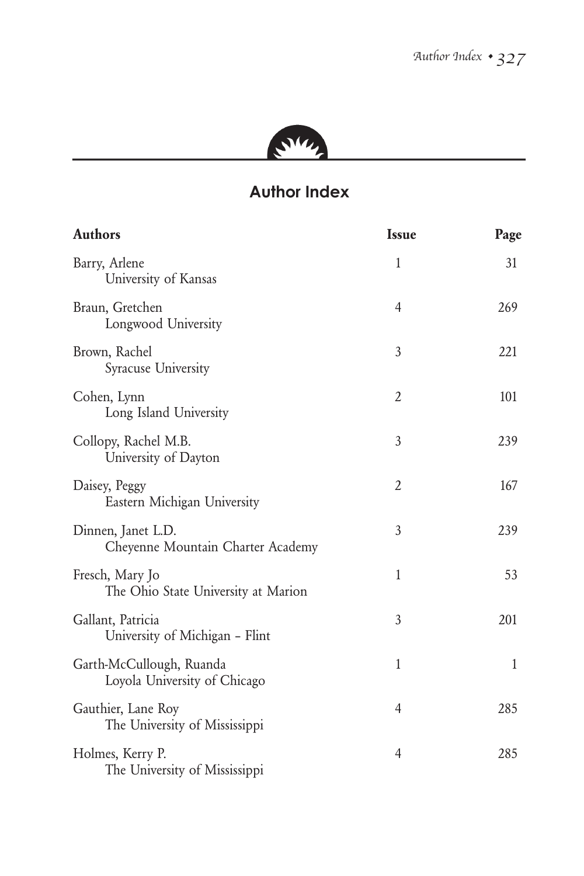

## **Author Index**

| <b>Authors</b>                                           | <b>Issue</b>   | Page         |
|----------------------------------------------------------|----------------|--------------|
| Barry, Arlene<br>University of Kansas                    | 1              | 31           |
| Braun, Gretchen<br>Longwood University                   | 4              | 269          |
| Brown, Rachel<br>Syracuse University                     | 3              | 221          |
| Cohen, Lynn<br>Long Island University                    | 2              | 101          |
| Collopy, Rachel M.B.<br>University of Dayton             | 3              | 239          |
| Daisey, Peggy<br>Eastern Michigan University             | 2              | 167          |
| Dinnen, Janet L.D.<br>Cheyenne Mountain Charter Academy  | 3              | 239          |
| Fresch, Mary Jo<br>The Ohio State University at Marion   | 1              | 53           |
| Gallant, Patricia<br>University of Michigan - Flint      | 3              | 201          |
| Garth-McCullough, Ruanda<br>Loyola University of Chicago | $\mathbf{1}$   | $\mathbf{1}$ |
| Gauthier, Lane Roy<br>The University of Mississippi      | 4              | 285          |
| Holmes, Kerry P.<br>The University of Mississippi        | $\overline{4}$ | 285          |